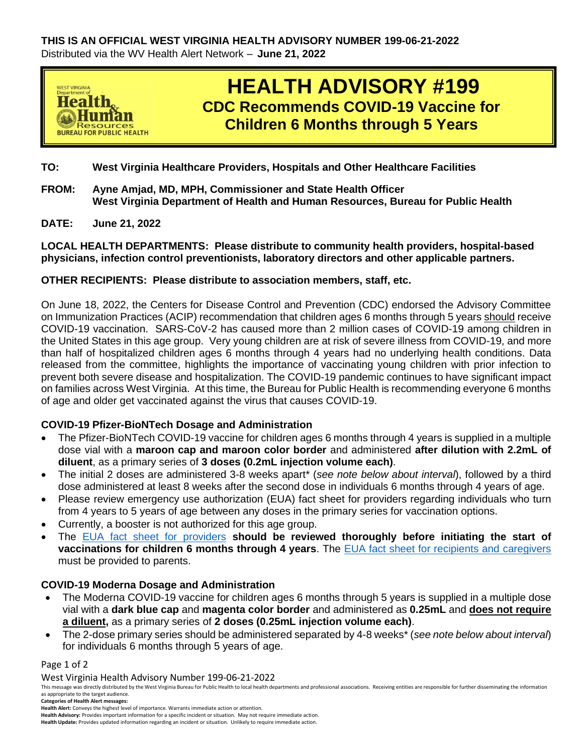

# **HEALTH ADVISORY #199 CDC Recommends COVID-19 Vaccine for Children 6 Months through 5 Years**

- **TO: West Virginia Healthcare Providers, Hospitals and Other Healthcare Facilities**
- **FROM: Ayne Amjad, MD, MPH, Commissioner and State Health Officer West Virginia Department of Health and Human Resources, Bureau for Public Health**
- **DATE: June 21, 2022**

**LOCAL HEALTH DEPARTMENTS: Please distribute to community health providers, hospital-based physicians, infection control preventionists, laboratory directors and other applicable partners.**

### **OTHER RECIPIENTS: Please distribute to association members, staff, etc.**

On June 18, 2022, the Centers for Disease Control and Prevention (CDC) endorsed the Advisory Committee on Immunization Practices (ACIP) recommendation that children ages 6 months through 5 years should receive COVID-19 vaccination. SARS-CoV-2 has caused more than 2 million cases of COVID-19 among children in the United States in this age group. Very young children are at risk of severe illness from COVID-19, and more than half of hospitalized children ages 6 months through 4 years had no underlying health conditions. Data released from the committee, highlights the importance of vaccinating young children with prior infection to prevent both severe disease and hospitalization. The COVID-19 pandemic continues to have significant impact on families across West Virginia. At this time, the Bureau for Public Health is recommending everyone 6 months of age and older get vaccinated against the virus that causes COVID-19.

#### **COVID-19 Pfizer-BioNTech Dosage and Administration**

- The Pfizer-BioNTech COVID-19 vaccine for children ages 6 months through 4 years is supplied in a multiple dose vial with a **maroon cap and maroon color border** and administered **after dilution with 2.2mL of diluent**, as a primary series of **3 doses (0.2mL injection volume each)**.
- The initial 2 doses are administered 3-8 weeks apart\* (*see note below about interval*), followed by a third dose administered at least 8 weeks after the second dose in individuals 6 months through 4 years of age.
- Please review emergency use authorization (EUA) fact sheet for providers regarding individuals who turn from 4 years to 5 years of age between any doses in the primary series for vaccination options.
- Currently, a booster is not authorized for this age group.
- The EUA [fact sheet for providers](https://www.fda.gov/media/159312/download) **should be reviewed thoroughly before initiating the start of vaccinations for children 6 months through 4 years**. The EUA [fact sheet for recipients and caregivers](https://www.fda.gov/media/159313/download) must be provided to parents.

## **COVID-19 Moderna Dosage and Administration**

- The Moderna COVID-19 vaccine for children ages 6 months through 5 years is supplied in a multiple dose vial with a **dark blue cap** and **magenta color border** and administered as **0.25mL** and **does not require a diluent,** as a primary series of **2 doses (0.25mL injection volume each)**.
- The 2-dose primary series should be administered separated by 4-8 weeks\* (*see note below about interval*) for individuals 6 months through 5 years of age.

#### Page 1 of 2

West Virginia Health Advisory Number 199-06-21-2022

This message was directly distributed by the West Virginia Bureau for Public Health to local health departments and professional associations. Receiving entities are responsible for further disseminating the information as appropriate to the target audience.

**Categories of Health Alert messages:** 

**Health Advisory:** Provides important information for a specific incident or situation. May not require immediate action. **Health Update:** Provides updated information regarding an incident or situation. Unlikely to require immediate action.

**Health Alert:** Conveys the highest level of importance. Warrants immediate action or attention.